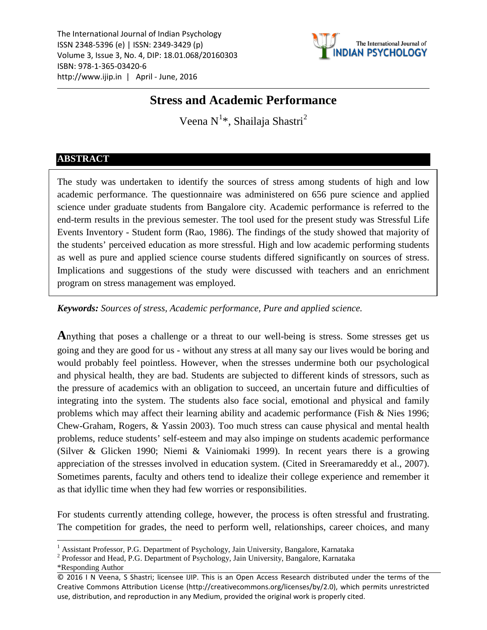The International Journal of Indian Psychology ISSN 2348-5396 (e) | ISSN: 2349-3429 (p) Volume 3, Issue 3, No. 4, DIP: 18.01.068/20160303 ISBN: 978-1-365-03420-6 http://www.ijip.in | April - June, 2016



# **Stress and Academic Performance**

Veena N $^{1*}$  $^{1*}$  $^{1*}$ , Shailaja Shastri $^{2}$  $^{2}$  $^{2}$ 

# **ABSTRACT**

The study was undertaken to identify the sources of stress among students of high and low academic performance. The questionnaire was administered on 656 pure science and applied science under graduate students from Bangalore city. Academic performance is referred to the end-term results in the previous semester. The tool used for the present study was Stressful Life Events Inventory - Student form (Rao, 1986). The findings of the study showed that majority of the students' perceived education as more stressful. High and low academic performing students as well as pure and applied science course students differed significantly on sources of stress. Implications and suggestions of the study were discussed with teachers and an enrichment program on stress management was employed.

*Keywords: Sources of stress, Academic performance, Pure and applied science.*

**A**nything that poses a challenge or a threat to our well-being is stress. Some stresses get us going and they are good for us - without any stress at all many say our lives would be boring and would probably feel pointless. However, when the stresses undermine both our psychological and physical health, they are bad. Students are subjected to different kinds of stressors, such as the pressure of academics with an obligation to succeed, an uncertain future and difficulties of integrating into the system. The students also face social, emotional and physical and family problems which may affect their learning ability and academic performance (Fish & Nies 1996; Chew-Graham, Rogers, & Yassin 2003). Too much stress can cause physical and mental health problems, reduce students' self-esteem and may also impinge on students academic performance (Silver & Glicken 1990; Niemi & Vainiomaki 1999). In recent years there is a growing appreciation of the stresses involved in education system. (Cited in Sreeramareddy et al., 2007). Sometimes parents, faculty and others tend to idealize their college experience and remember it as that idyllic time when they had few worries or responsibilities.

For students currently attending college, however, the process is often stressful and frustrating. The competition for grades, the need to perform well, relationships, career choices, and many

<span id="page-0-0"></span><sup>&</sup>lt;sup>1</sup> Assistant Professor, P.G. Department of Psychology, Jain University, Bangalore, Karnataka

<span id="page-0-1"></span><sup>2</sup> Professor and Head, P.G. Department of Psychology, Jain University, Bangalore, Karnataka

<sup>\*</sup>Responding Author

<sup>© 2016</sup> I N Veena, S Shastri; licensee IJIP. This is an Open Access Research distributed under the terms of the Creative Commons Attribution License (http://creativecommons.org/licenses/by/2.0), which permits unrestricted use, distribution, and reproduction in any Medium, provided the original work is properly cited.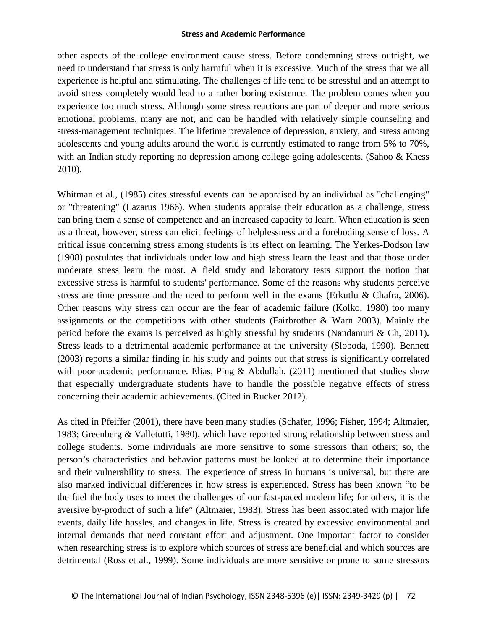other aspects of the college environment cause stress. Before condemning stress outright, we need to understand that stress is only harmful when it is excessive. Much of the stress that we all experience is helpful and stimulating. The challenges of life tend to be stressful and an attempt to avoid stress completely would lead to a rather boring existence. The problem comes when you experience too much stress. Although some stress reactions are part of deeper and more serious emotional problems, many are not, and can be handled with relatively simple counseling and stress-management techniques. The lifetime prevalence of depression, anxiety, and stress among adolescents and young adults around the world is currently estimated to range from 5% to 70%, with an Indian study reporting no depression among college going adolescents. [\(Sahoo &](http://www.ncbi.nlm.nih.gov/pubmed?term=Sahoo%20S%5BAuthor%5D&cauthor=true&cauthor_uid=21135643) Khess 2010).

Whitman et al., (1985) cites stressful events can be appraised by an individual as "challenging" or "threatening" (Lazarus 1966). When students appraise their education as a challenge, stress can bring them a sense of competence and an increased capacity to learn. When education is seen as a threat, however, stress can elicit feelings of helplessness and a foreboding sense of loss. A critical issue concerning stress among students is its effect on learning. The Yerkes-Dodson law (1908) postulates that individuals under low and high stress learn the least and that those under moderate stress learn the most. A field study and laboratory tests support the notion that excessive stress is harmful to students' performance. Some of the reasons why students perceive stress are time pressure and the need to perform well in the exams (Erkutlu & Chafra, 2006). Other reasons why stress can occur are the fear of academic failure (Kolko, 1980) too many assignments or the competitions with other students (Fairbrother & Warn 2003). Mainly the period before the exams is perceived as highly stressful by students (Nandamuri & Ch, 2011)**.** Stress leads to a detrimental academic performance at the university (Sloboda, 1990). Bennett (2003) reports a similar finding in his study and points out that stress is significantly correlated with poor academic performance. Elias, Ping & Abdullah,  $(2011)$  mentioned that studies show that especially undergraduate students have to handle the possible negative effects of stress concerning their academic achievements. (Cited in Rucker 2012).

As cited in Pfeiffer (2001), there have been many studies (Schafer, 1996; Fisher, 1994; Altmaier, 1983; Greenberg & Valletutti, 1980), which have reported strong relationship between stress and college students. Some individuals are more sensitive to some stressors than others; so, the person's characteristics and behavior patterns must be looked at to determine their importance and their vulnerability to stress. The experience of stress in humans is universal, but there are also marked individual differences in how stress is experienced. Stress has been known "to be the fuel the body uses to meet the challenges of our fast-paced modern life; for others, it is the aversive by-product of such a life" (Altmaier, 1983). Stress has been associated with major life events, daily life hassles, and changes in life. Stress is created by excessive environmental and internal demands that need constant effort and adjustment. One important factor to consider when researching stress is to explore which sources of stress are beneficial and which sources are detrimental (Ross et al., 1999). Some individuals are more sensitive or prone to some stressors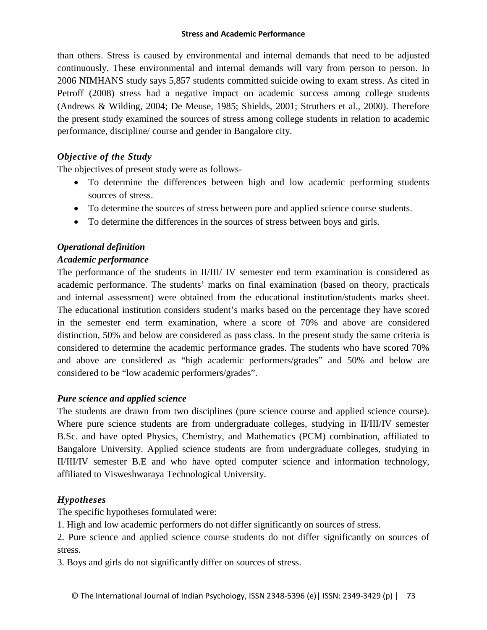than others. Stress is caused by environmental and internal demands that need to be adjusted continuously. These environmental and internal demands will vary from person to person. In 2006 NIMHANS study says 5,857 students committed suicide owing to exam stress. As cited in Petroff (2008) stress had a negative impact on academic success among college students (Andrews & Wilding, 2004; De Meuse, 1985; Shields, 2001; Struthers et al., 2000). Therefore the present study examined the sources of stress among college students in relation to academic performance, discipline/ course and gender in Bangalore city.

## *Objective of the Study*

The objectives of present study were as follows-

- To determine the differences between high and low academic performing students sources of stress.
- To determine the sources of stress between pure and applied science course students.
- To determine the differences in the sources of stress between boys and girls.

# *Operational definition*

## *Academic performance*

The performance of the students in II/III/ IV semester end term examination is considered as academic performance. The students' marks on final examination (based on theory, practicals and internal assessment) were obtained from the educational institution/students marks sheet. The educational institution considers student's marks based on the percentage they have scored in the semester end term examination, where a score of 70% and above are considered distinction, 50% and below are considered as pass class. In the present study the same criteria is considered to determine the academic performance grades. The students who have scored 70% and above are considered as "high academic performers/grades" and 50% and below are considered to be "low academic performers/grades".

# *Pure science and applied science*

The students are drawn from two disciplines (pure science course and applied science course). Where pure science students are from undergraduate colleges, studying in II/III/IV semester B.Sc. and have opted Physics, Chemistry, and Mathematics (PCM) combination, affiliated to Bangalore University. Applied science students are from undergraduate colleges, studying in II/III/IV semester B.E and who have opted computer science and information technology, affiliated to Visweshwaraya Technological University.

# *Hypotheses*

The specific hypotheses formulated were:

1. High and low academic performers do not differ significantly on sources of stress.

2. Pure science and applied science course students do not differ significantly on sources of stress.

3. Boys and girls do not significantly differ on sources of stress.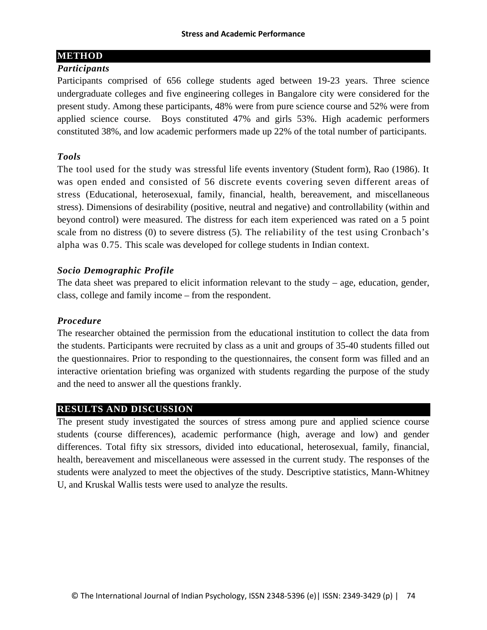## **METHOD**

### *Participants*

Participants comprised of 656 college students aged between 19-23 years. Three science undergraduate colleges and five engineering colleges in Bangalore city were considered for the present study. Among these participants, 48% were from pure science course and 52% were from applied science course. Boys constituted 47% and girls 53%. High academic performers constituted 38%, and low academic performers made up 22% of the total number of participants.

## *Tools*

The tool used for the study was stressful life events inventory (Student form), Rao (1986). It was open ended and consisted of 56 discrete events covering seven different areas of stress (Educational, heterosexual, family, financial, health, bereavement, and miscellaneous stress). Dimensions of desirability (positive, neutral and negative) and controllability (within and beyond control) were measured. The distress for each item experienced was rated on a 5 point scale from no distress (0) to severe distress (5). The reliability of the test using Cronbach's alpha was 0.75. This scale was developed for college students in Indian context.

## *Socio Demographic Profile*

The data sheet was prepared to elicit information relevant to the study – age, education, gender, class, college and family income – from the respondent.

### *Procedure*

The researcher obtained the permission from the educational institution to collect the data from the students. Participants were recruited by class as a unit and groups of 35-40 students filled out the questionnaires. Prior to responding to the questionnaires, the consent form was filled and an interactive orientation briefing was organized with students regarding the purpose of the study and the need to answer all the questions frankly.

## **RESULTS AND DISCUSSION**

The present study investigated the sources of stress among pure and applied science course students (course differences), academic performance (high, average and low) and gender differences. Total fifty six stressors, divided into educational, heterosexual, family, financial, health, bereavement and miscellaneous were assessed in the current study. The responses of the students were analyzed to meet the objectives of the study. Descriptive statistics, Mann-Whitney U, and Kruskal Wallis tests were used to analyze the results.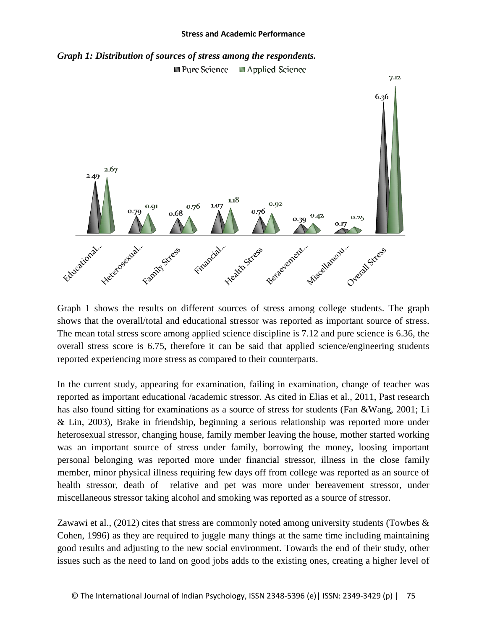



Graph 1 shows the results on different sources of stress among college students. The graph shows that the overall/total and educational stressor was reported as important source of stress. The mean total stress score among applied science discipline is 7.12 and pure science is 6.36, the overall stress score is 6.75, therefore it can be said that applied science/engineering students reported experiencing more stress as compared to their counterparts.

In the current study, appearing for examination, failing in examination, change of teacher was reported as important educational /academic stressor. As cited in Elias et al., 2011, Past research has also found sitting for examinations as a source of stress for students (Fan &Wang, 2001; Li & Lin, 2003), Brake in friendship, beginning a serious relationship was reported more under heterosexual stressor, changing house, family member leaving the house, mother started working was an important source of stress under family, borrowing the money, loosing important personal belonging was reported more under financial stressor, illness in the close family member, minor physical illness requiring few days off from college was reported as an source of health stressor, death of relative and pet was more under bereavement stressor, under miscellaneous stressor taking alcohol and smoking was reported as a source of stressor.

Zawawi et al., (2012) cites that stress are commonly noted among university students (Towbes & Cohen, 1996) as they are required to juggle many things at the same time including maintaining good results and adjusting to the new social environment. Towards the end of their study, other issues such as the need to land on good jobs adds to the existing ones, creating a higher level of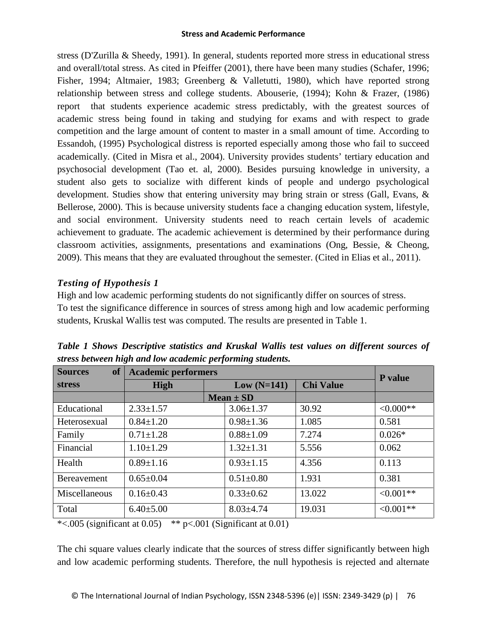stress (D'Zurilla & Sheedy, 1991). In general, students reported more stress in educational stress and overall/total stress. As cited in Pfeiffer (2001), there have been many studies (Schafer, 1996; Fisher, 1994; Altmaier, 1983; Greenberg & Valletutti, 1980), which have reported strong relationship between stress and college students. Abouserie, (1994); Kohn & Frazer, (1986) report that students experience academic stress predictably, with the greatest sources of academic stress being found in taking and studying for exams and with respect to grade competition and the large amount of content to master in a small amount of time. According to Essandoh, (1995) Psychological distress is reported especially among those who fail to succeed academically. (Cited in Misra et al., 2004). University provides students' tertiary education and psychosocial development (Tao et. al, 2000). Besides pursuing knowledge in university, a student also gets to socialize with different kinds of people and undergo psychological development. Studies show that entering university may bring strain or stress (Gall, Evans, & Bellerose, 2000). This is because university students face a changing education system, lifestyle, and social environment. University students need to reach certain levels of academic achievement to graduate. The academic achievement is determined by their performance during classroom activities, assignments, presentations and examinations (Ong, Bessie, & Cheong, 2009). This means that they are evaluated throughout the semester. (Cited in Elias et al., 2011).

# *Testing of Hypothesis 1*

High and low academic performing students do not significantly differ on sources of stress. To test the significance difference in sources of stress among high and low academic performing students, Kruskal Wallis test was computed. The results are presented in Table 1.

| <b>of</b><br><b>Sources</b> | <b>Academic performers</b> | P value         |                  |             |
|-----------------------------|----------------------------|-----------------|------------------|-------------|
| <b>stress</b>               | <b>High</b>                | $Low (N=141)$   | <b>Chi Value</b> |             |
|                             |                            | $Mean \pm SD$   |                  |             |
| Educational                 | $2.33 \pm 1.57$            | $3.06 \pm 1.37$ | 30.92            | $<0.000**$  |
| Heterosexual                | $0.84 \pm 1.20$            | $0.98 \pm 1.36$ | 1.085            | 0.581       |
| Family                      | $0.71 \pm 1.28$            | $0.88 \pm 1.09$ | 7.274            | $0.026*$    |
| Financial                   | $1.10 \pm 1.29$            | $1.32 \pm 1.31$ | 5.556            | 0.062       |
| Health                      | $0.89 \pm 1.16$            | $0.93 \pm 1.15$ | 4.356            | 0.113       |
| <b>Bereavement</b>          | $0.65 \pm 0.04$            | $0.51 \pm 0.80$ | 1.931            | 0.381       |
| Miscellaneous               | $0.16 \pm 0.43$            | $0.33 \pm 0.62$ | 13.022           | $< 0.001**$ |
| Total                       | $6.40{\pm}5.00$            | $8.03 \pm 4.74$ | 19.031           | $<0.001**$  |

*Table 1 Shows Descriptive statistics and Kruskal Wallis test values on different sources of stress between high and low academic performing students.*

\*<.005 (significant at 0.05)  $*$   $*$  p<.001 (Significant at 0.01)

The chi square values clearly indicate that the sources of stress differ significantly between high and low academic performing students. Therefore, the null hypothesis is rejected and alternate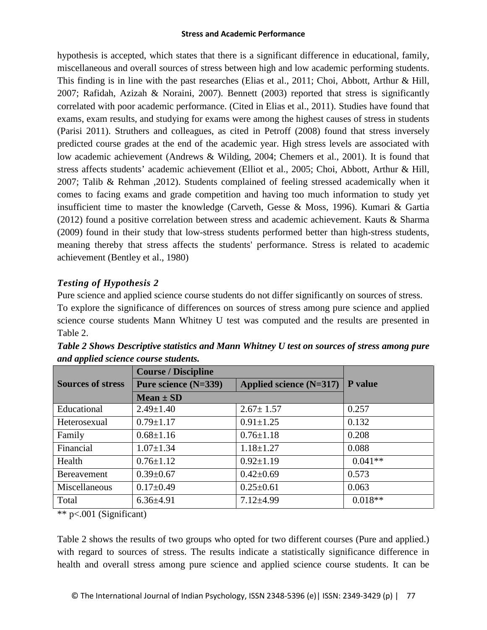hypothesis is accepted, which states that there is a significant difference in educational, family, miscellaneous and overall sources of stress between high and low academic performing students. This finding is in line with the past researches (Elias et al., 2011; Choi, Abbott, Arthur & Hill, 2007; Rafidah, Azizah & Noraini, 2007). Bennett (2003) reported that stress is significantly correlated with poor academic performance. (Cited in Elias et al., 2011). Studies have found that exams, exam results, and studying for exams were among the highest causes of stress in students (Parisi 2011). Struthers and colleagues, as cited in Petroff (2008) found that stress inversely predicted course grades at the end of the academic year. High stress levels are associated with low academic achievement (Andrews & Wilding, 2004; Chemers et al., 2001). It is found that stress affects students' academic achievement (Elliot et al., 2005; Choi, Abbott, Arthur & Hill, 2007; Talib & Rehman ,2012). Students complained of feeling stressed academically when it comes to facing exams and grade competition and having too much information to study yet insufficient time to master the knowledge (Carveth, Gesse & Moss, 1996). Kumari & Gartia (2012) found a positive correlation between stress and academic achievement. Kauts & Sharma (2009) found in their study that low-stress students performed better than high-stress students, meaning thereby that stress affects the students' performance. Stress is related to academic achievement (Bentley et al., 1980)

# *Testing of Hypothesis 2*

Pure science and applied science course students do not differ significantly on sources of stress. To explore the significance of differences on sources of stress among pure science and applied science course students Mann Whitney U test was computed and the results are presented in Table 2.

|                          | <b>Course / Discipline</b>                        | P value         |           |
|--------------------------|---------------------------------------------------|-----------------|-----------|
| <b>Sources of stress</b> | Pure science (N=339)<br>Applied science $(N=317)$ |                 |           |
|                          | $Mean \pm SD$                                     |                 |           |
| Educational              | $2.49 \pm 1.40$                                   | $2.67 \pm 1.57$ | 0.257     |
| Heterosexual             | $0.79 \pm 1.17$                                   | $0.91 \pm 1.25$ | 0.132     |
| Family                   | $0.68 \pm 1.16$                                   | $0.76 \pm 1.18$ | 0.208     |
| Financial                | $1.07 \pm 1.34$                                   | $1.18 \pm 1.27$ | 0.088     |
| Health                   | $0.76 \pm 1.12$                                   | $0.92 \pm 1.19$ | $0.041**$ |
| Bereavement              | $0.39 \pm 0.67$                                   | $0.42 \pm 0.69$ | 0.573     |
| Miscellaneous            | $0.17 \pm 0.49$                                   | $0.25 \pm 0.61$ | 0.063     |
| Total                    | $6.36{\pm}4.91$                                   | $7.12{\pm}4.99$ | $0.018**$ |

*Table 2 Shows Descriptive statistics and Mann Whitney U test on sources of stress among pure and applied science course students.*

\*\* p<.001 (Significant)

Table 2 shows the results of two groups who opted for two different courses (Pure and applied.) with regard to sources of stress. The results indicate a statistically significance difference in health and overall stress among pure science and applied science course students. It can be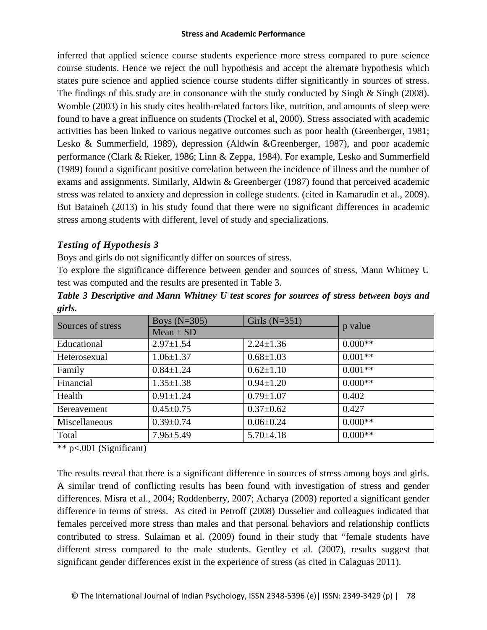inferred that applied science course students experience more stress compared to pure science course students. Hence we reject the null hypothesis and accept the alternate hypothesis which states pure science and applied science course students differ significantly in sources of stress. The findings of this study are in consonance with the study conducted by Singh  $\&$  Singh (2008). Womble (2003) in his study cites health-related factors like, nutrition, and amounts of sleep were found to have a great influence on students (Trockel et al, 2000). Stress associated with academic activities has been linked to various negative outcomes such as poor health (Greenberger, 1981; Lesko & Summerfield, 1989), depression (Aldwin &Greenberger, 1987), and poor academic performance (Clark & Rieker, 1986; Linn & Zeppa, 1984). For example, Lesko and Summerfield (1989) found a significant positive correlation between the incidence of illness and the number of exams and assignments. Similarly, Aldwin & Greenberger (1987) found that perceived academic stress was related to anxiety and depression in college students. (cited in Kamarudin et al., 2009). But Bataineh (2013) in his study found that there were no significant differences in academic stress among students with different, level of study and specializations.

# *Testing of Hypothesis 3*

Boys and girls do not significantly differ on sources of stress.

To explore the significance difference between gender and sources of stress, Mann Whitney U test was computed and the results are presented in Table 3.

| Table 3 Descriptive and Mann Whitney U test scores for sources of stress between boys and |  |  |  |  |  |
|-------------------------------------------------------------------------------------------|--|--|--|--|--|
| girls.                                                                                    |  |  |  |  |  |

| Sources of stress | Boys $(N=305)$<br>Girls $(N=351)$ |                 |           |  |
|-------------------|-----------------------------------|-----------------|-----------|--|
|                   | Mean $\pm$ SD                     | p value         |           |  |
| Educational       | $2.97 \pm 1.54$                   | $2.24 \pm 1.36$ | $0.000**$ |  |
| Heterosexual      | $1.06 \pm 1.37$                   | $0.68 \pm 1.03$ | $0.001**$ |  |
| Family            | $0.84 \pm 1.24$                   | $0.62 \pm 1.10$ | $0.001**$ |  |
| Financial         | $1.35 \pm 1.38$                   | $0.94 \pm 1.20$ | $0.000**$ |  |
| Health            | $0.91 \pm 1.24$                   | $0.79 \pm 1.07$ | 0.402     |  |
| Bereavement       | $0.45 \pm 0.75$                   | $0.37 \pm 0.62$ | 0.427     |  |
| Miscellaneous     | $0.39 \pm 0.74$                   | $0.06 \pm 0.24$ | $0.000**$ |  |
| Total             | $7.96 \pm 5.49$                   | $5.70 \pm 4.18$ | $0.000**$ |  |

\*\* p<.001 (Significant)

The results reveal that there is a significant difference in sources of stress among boys and girls. A similar trend of conflicting results has been found with investigation of stress and gender differences. Misra et al., 2004; Roddenberry, 2007; Acharya (2003) reported a significant gender difference in terms of stress. As cited in Petroff (2008) Dusselier and colleagues indicated that females perceived more stress than males and that personal behaviors and relationship conflicts contributed to stress. Sulaiman et al*.* (2009) found in their study that "female students have different stress compared to the male students. Gentley et al. (2007), results suggest that significant gender differences exist in the experience of stress (as cited in Calaguas 2011).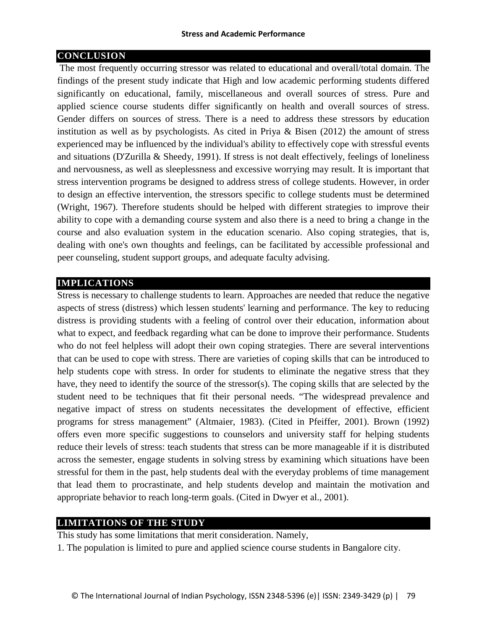## **CONCLUSION**

The most frequently occurring stressor was related to educational and overall/total domain. The findings of the present study indicate that High and low academic performing students differed significantly on educational, family, miscellaneous and overall sources of stress. Pure and applied science course students differ significantly on health and overall sources of stress. Gender differs on sources of stress. There is a need to address these stressors by education institution as well as by psychologists. As cited in Priya & Bisen (2012) the amount of stress experienced may be influenced by the individual's ability to effectively cope with stressful events and situations (D'Zurilla & Sheedy, 1991). If stress is not dealt effectively, feelings of loneliness and nervousness, as well as sleeplessness and excessive worrying may result. It is important that stress intervention programs be designed to address stress of college students. However, in order to design an effective intervention, the stressors specific to college students must be determined (Wright, 1967). Therefore students should be helped with different strategies to improve their ability to cope with a demanding course system and also there is a need to bring a change in the course and also evaluation system in the education scenario. Also coping strategies, that is, dealing with one's own thoughts and feelings, can be facilitated by accessible professional and peer counseling, student support groups, and adequate faculty advising.

### **IMPLICATIONS**

Stress is necessary to challenge students to learn. Approaches are needed that reduce the negative aspects of stress (distress) which lessen students' learning and performance. The key to reducing distress is providing students with a feeling of control over their education, information about what to expect, and feedback regarding what can be done to improve their performance. Students who do not feel helpless will adopt their own coping strategies. There are several interventions that can be used to cope with stress. There are varieties of coping skills that can be introduced to help students cope with stress. In order for students to eliminate the negative stress that they have, they need to identify the source of the stressor(s). The coping skills that are selected by the student need to be techniques that fit their personal needs. "The widespread prevalence and negative impact of stress on students necessitates the development of effective, efficient programs for stress management" (Altmaier, 1983). (Cited in Pfeiffer, 2001). Brown (1992) offers even more specific suggestions to counselors and university staff for helping students reduce their levels of stress: teach students that stress can be more manageable if it is distributed across the semester, engage students in solving stress by examining which situations have been stressful for them in the past, help students deal with the everyday problems of time management that lead them to procrastinate, and help students develop and maintain the motivation and appropriate behavior to reach long-term goals. (Cited in Dwyer et al., 2001).

## **LIMITATIONS OF THE STUDY**

This study has some limitations that merit consideration. Namely,

1. The population is limited to pure and applied science course students in Bangalore city.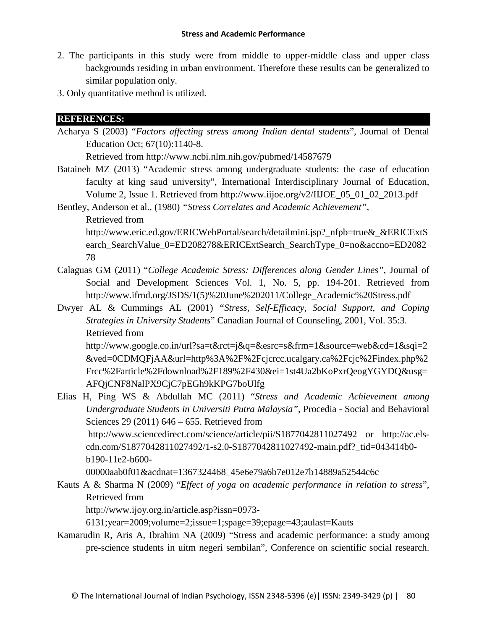- 2. The participants in this study were from middle to upper-middle class and upper class backgrounds residing in urban environment. Therefore these results can be generalized to similar population only.
- 3. Only quantitative method is utilized.

## **REFERENCES:**

Acharya S (2003) "*Factors affecting stress among Indian dental students*", Journal of Dental Education Oct; 67(10):1140-8.

Retrieved from http://www.ncbi.nlm.nih.gov/pubmed/14587679

Bataineh MZ (2013) "Academic stress among undergraduate students: the case of education faculty at king saud university", International Interdisciplinary Journal of Education, Volume 2, Issue 1. Retrieved from http://www.iijoe.org/v2/IIJOE\_05\_01\_02\_2013.pdf

Bentley, Anderson et al., (1980) *"Stress Correlates and Academic Achievement",* 

Retrieved from

http://www.eric.ed.gov/ERICWebPortal/search/detailmini.jsp?\_nfpb=true&\_&ERICExtS earch\_SearchValue\_0=ED208278&ERICExtSearch\_SearchType\_0=no&accno=ED2082 78

- Calaguas GM (2011) "*College Academic Stress: Differences along Gender Lines"*, Journal of Social and Development Sciences Vol. 1, No. 5, pp. 194-201. Retrieved from http://www.ifrnd.org/JSDS/1(5)%20June%202011/College\_Academic%20Stress.pdf
- Dwyer AL & Cummings AL (2001) *"Stress, Self-Efficacy, Social Support, and Coping Strategies in University Students*" Canadian Journal of Counseling, 2001, Vol. 35:3. Retrieved from

http://www.google.co.in/url?sa=t&rct=j&q=&esrc=s&frm=1&source=web&cd=1&sqi=2 &ved=0CDMQFjAA&url=http%3A%2F%2Fcjcrcc.ucalgary.ca%2Fcjc%2Findex.php%2 Frcc%2Farticle%2Fdownload%2F189%2F430&ei=1st4Ua2bKoPxrQeogYGYDQ&usg= AFQjCNF8NalPX9CjC7pEGh9kKPG7boUlfg

Elias H, Ping WS & Abdullah MC (2011) "*Stress and Academic Achievement among Undergraduate Students in Universiti Putra Malaysia"*, Procedia - Social and Behavioral Sciences 29 (2011) 646 – 655. Retrieved from http://www.sciencedirect.com/science/article/pii/S1877042811027492 or http://ac.elscdn.com/S1877042811027492/1-s2.0-S1877042811027492-main.pdf?\_tid=043414b0 b190-11e2-b600-

00000aab0f01&acdnat=1367324468\_45e6e79a6b7e012e7b14889a52544c6c

Kauts A & Sharma N (2009) "*Effect of yoga on academic performance in relation to stress*", Retrieved from

http://www.ijoy.org.in/article.asp?issn=0973-

6131;year=2009;volume=2;issue=1;spage=39;epage=43;aulast=Kauts

Kamarudin R, Aris A, Ibrahim NA (2009) "Stress and academic performance: a study among pre-science students in uitm negeri sembilan", Conference on scientific social research.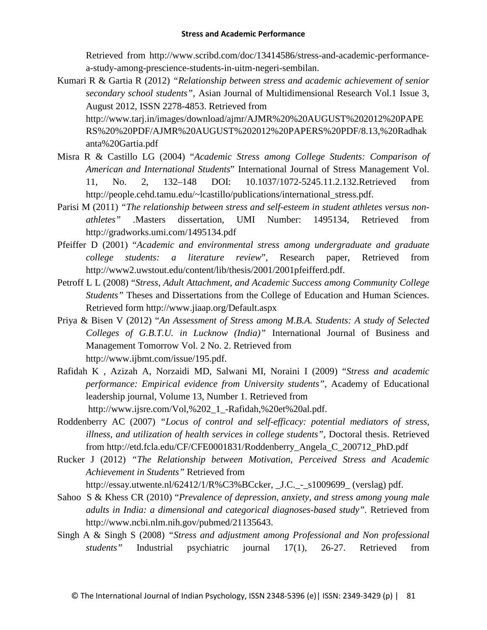Retrieved from http://www.scribd.com/doc/13414586/stress-and-academic-performancea-study-among-prescience-students-in-uitm-negeri-sembilan.

Kumari R & Gartia R (2012) *"Relationship between stress and academic achievement of senior secondary school students",* Asian Journal of Multidimensional Research Vol.1 Issue 3, August 2012, ISSN 2278-4853. Retrieved from http://www.tarj.in/images/download/ajmr/AJMR%20%20AUGUST%202012%20PAPE RS%20%20PDF/AJMR%20AUGUST%202012%20PAPERS%20PDF/8.13,%20Radhak

anta%20Gartia.pdf

- Misra R & Castillo LG (2004) "*Academic Stress among College Students: Comparison of American and International Students*" International Journal of Stress Management Vol. 11, No. 2, 132–148 DOI: 10.1037/1072-5245.11.2.132.Retrieved from http://people.cehd.tamu.edu/~lcastillo/publications/international\_stress.pdf.
- Parisi M (2011) *"The relationship between stress and self-esteem in student athletes versus nonathletes" .*Masters dissertation*,* UMI Number: 1495134*,* Retrieved from http://gradworks.umi.com/1495134.pdf
- Pfeiffer D (2001) "*Academic and environmental stress among undergraduate and graduate college students: a literature review*", Research paper, Retrieved from http://www2.uwstout.edu/content/lib/thesis/2001/2001pfeifferd.pdf.
- Petroff L L (2008) "*Stress, Adult Attachment, and Academic Success among Community College Students"* Theses and Dissertations from the College of Education and Human Sciences. Retrieved form http://www.jiaap.org/Default.aspx
- Priya & Bisen V (2012) "*An Assessment of Stress among M.B.A. Students: A study of Selected Colleges of G.B.T.U. in Lucknow (India)"* International Journal of Business and Management Tomorrow Vol. 2 No. 2. Retrieved from http://www.ijbmt.com/issue/195.pdf.
- Rafidah K , Azizah A, Norzaidi MD, Salwani MI, Noraini I (2009) "*Stress and academic performance: Empirical evidence from University students"*, Academy of Educational leadership journal, Volume 13, Number 1. Retrieved from http://www.ijsre.com/Vol,%202\_1\_-Rafidah,%20et%20al.pdf.
- Roddenberry AC (2007) *"Locus of control and self-efficacy: potential mediators of stress, illness, and utilization of health services in college students",* Doctoral thesis. Retrieved from http://etd.fcla.edu/CF/CFE0001831/Roddenberry\_Angela\_C\_200712\_PhD.pdf
- Rucker J (2012) *"The Relationship between Motivation, Perceived Stress and Academic Achievement in Students"* Retrieved from

http://essay.utwente.nl/62412/1/R%C3%BCcker, \_J.C.\_-\_s1009699\_ (verslag) pdf.

- Sahoo S & Khess CR (2010) "*Prevalence of depression, anxiety, and stress among young male adults in India: a dimensional and categorical diagnoses-based study".* Retrieved from http://www.ncbi.nlm.nih.gov/pubmed/21135643.
- Singh A & Singh S (2008) *"Stress and adjustment among Professional and Non professional students"* Industrial psychiatric journal 17(1), 26-27. Retrieved from